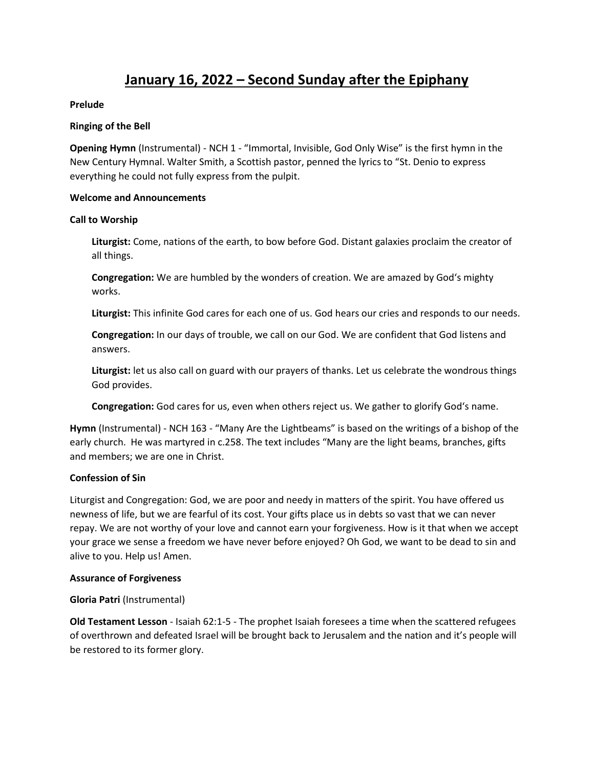# **January 16, 2022 – Second Sunday after the Epiphany**

# **Prelude**

### **Ringing of the Bell**

**Opening Hymn** (Instrumental) - NCH 1 - "Immortal, Invisible, God Only Wise" is the first hymn in the New Century Hymnal. Walter Smith, a Scottish pastor, penned the lyrics to "St. Denio to express everything he could not fully express from the pulpit.

#### **Welcome and Announcements**

#### **Call to Worship**

**Liturgist:** Come, nations of the earth, to bow before God. Distant galaxies proclaim the creator of all things.

**Congregation:** We are humbled by the wonders of creation. We are amazed by God's mighty works.

**Liturgist:** This infinite God cares for each one of us. God hears our cries and responds to our needs.

**Congregation:** In our days of trouble, we call on our God. We are confident that God listens and answers.

**Liturgist:** let us also call on guard with our prayers of thanks. Let us celebrate the wondrous things God provides.

**Congregation:** God cares for us, even when others reject us. We gather to glorify God's name.

**Hymn** (Instrumental) - NCH 163 - "Many Are the Lightbeams" is based on the writings of a bishop of the early church. He was martyred in c.258. The text includes "Many are the light beams, branches, gifts and members; we are one in Christ.

# **Confession of Sin**

Liturgist and Congregation: God, we are poor and needy in matters of the spirit. You have offered us newness of life, but we are fearful of its cost. Your gifts place us in debts so vast that we can never repay. We are not worthy of your love and cannot earn your forgiveness. How is it that when we accept your grace we sense a freedom we have never before enjoyed? Oh God, we want to be dead to sin and alive to you. Help us! Amen.

#### **Assurance of Forgiveness**

# **Gloria Patri** (Instrumental)

**Old Testament Lesson** - Isaiah 62:1-5 - The prophet Isaiah foresees a time when the scattered refugees of overthrown and defeated Israel will be brought back to Jerusalem and the nation and it's people will be restored to its former glory.